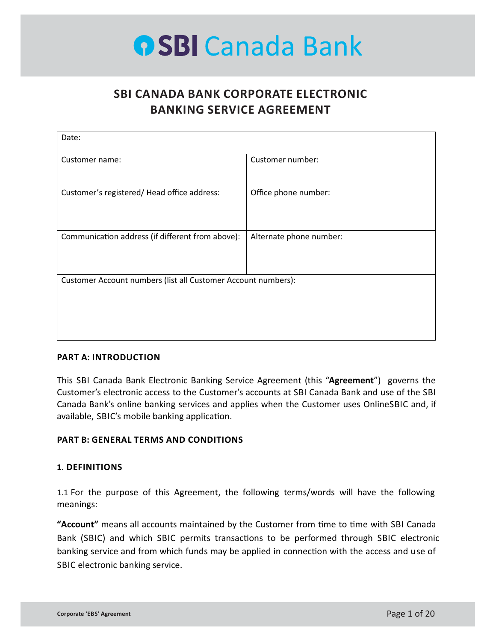## **SBI CANADA BANK CORPORATE ELECTRONIC BANKING SERVICE AGREEMENT**

| Date:                                                         |                         |  |
|---------------------------------------------------------------|-------------------------|--|
| Customer name:                                                | Customer number:        |  |
| Customer's registered/Head office address:                    | Office phone number:    |  |
| Communication address (if different from above):              | Alternate phone number: |  |
| Customer Account numbers (list all Customer Account numbers): |                         |  |
|                                                               |                         |  |

### **PART A: INTRODUCTION**

This SBI Canada Bank Electronic Banking Service Agreement (this "**Agreement**") governs the Customer's electronic access to the Customer's accounts at SBI Canada Bank and use of the SBI Canada Bank's online banking services and applies when the Customer uses OnlineSBIC and, if available, SBIC's mobile banking application.

### **PART B: GENERAL TERMS AND CONDITIONS**

#### **1. DEFINITIONS**

1.1 For the purpose of this Agreement, the following terms/words will have the following meanings:

"Account" means all accounts maintained by the Customer from time to time with SBI Canada Bank (SBIC) and which SBIC permits transactions to be performed through SBIC electronic banking service and from which funds may be applied in connection with the access and use of SBIC electronic banking service.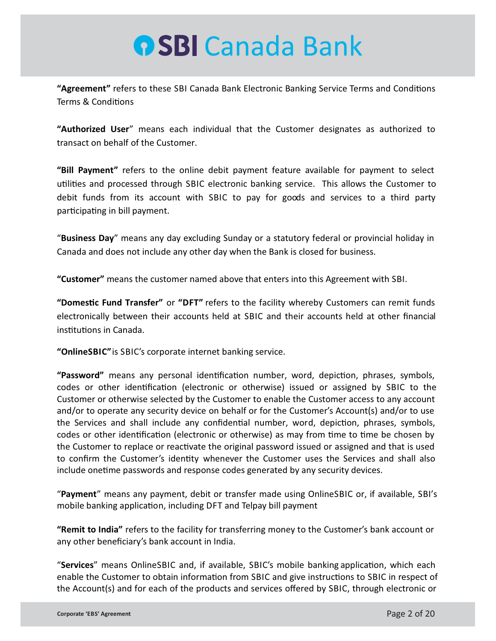"Agreement" refers to these SBI Canada Bank Electronic Banking Service Terms and Conditions Terms & Conditions

**"Authorized User**" means each individual that the Customer designates as authorized to transact on behalf of the Customer.

**"Bill Payment"** refers to the online debit payment feature available for payment to select utilities and processed through SBIC electronic banking service. This allows the Customer to debit funds from its account with SBIC to pay for goods and services to a third party participating in bill payment.

"**Business Day**" means any day excluding Sunday or a statutory federal or provincial holiday in Canada and does not include any other day when the Bank is closed for business.

**"Customer"** means the customer named above that enters into this Agreement with SBI.

"Domestic Fund Transfer" or "DFT" refers to the facility whereby Customers can remit funds electronically between their accounts held at SBIC and their accounts held at other financial institutions in Canada.

**"OnlineSBIC"**is SBIC's corporate internet banking service.

"Password" means any personal identification number, word, depiction, phrases, symbols, codes or other identification (electronic or otherwise) issued or assigned by SBIC to the Customer or otherwise selected by the Customer to enable the Customer access to any account and/or to operate any security device on behalf or for the Customer's Account(s) and/or to use the Services and shall include any confidential number, word, depiction, phrases, symbols, codes or other identification (electronic or otherwise) as may from time to time be chosen by the Customer to replace or reactivate the original password issued or assigned and that is used to confirm the Customer's identity whenever the Customer uses the Services and shall also include onetime passwords and response codes generated by any security devices.

"**Payment**" means any payment, debit or transfer made using OnlineSBIC or, if available, SBI's mobile banking application, including DFT and Telpay bill payment

**"Remit to India"** refers to the facility for transferring money to the Customer's bank account or any other beneficiary's bank account in India.

"Services" means OnlineSBIC and, if available, SBIC's mobile banking application, which each enable the Customer to obtain information from SBIC and give instructions to SBIC in respect of the Account(s) and for each of the products and services offered by SBIC, through electronic or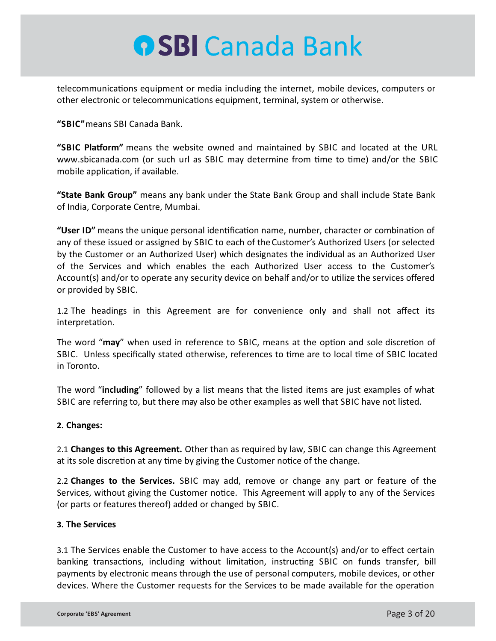telecommunications equipment or media including the internet, mobile devices, computers or other electronic or telecommunications equipment, terminal, system or otherwise.

**"SBIC"**means SBI Canada Bank.

**"SBIC Platform"** means the website owned and maintained by SBIC and located at the URL www.sbicanada.com (or such url as SBIC may determine from time to time) and/or the SBIC mobile application, if available.

**"State Bank Group"** means any bank under the State Bank Group and shall include State Bank of India, Corporate Centre, Mumbai.

"User ID" means the unique personal identification name, number, character or combination of any of these issued or assigned by SBIC to each of theCustomer's Authorized Users (or selected by the Customer or an Authorized User) which designates the individual as an Authorized User of the Services and which enables the each Authorized User access to the Customer's Account(s) and/or to operate any security device on behalf and/or to utilize the services offered or provided by SBIC.

1.2 The headings in this Agreement are for convenience only and shall not affect its interpretation.

The word "may" when used in reference to SBIC, means at the option and sole discretion of SBIC. Unless specifically stated otherwise, references to time are to local time of SBIC located in Toronto.

The word "**including**" followed by a list means that the listed items are just examples of what SBIC are referring to, but there may also be other examples as well that SBIC have not listed.

### **2. Changes:**

2.1 **Changes to this Agreement.** Other than as required by law, SBIC can change this Agreement at its sole discretion at any time by giving the Customer notice of the change.

2.2 **Changes to the Services.** SBIC may add, remove or change any part or feature of the Services, without giving the Customer notice. This Agreement will apply to any of the Services (or parts or features thereof) added or changed by SBIC.

### **3. The Services**

3.1 The Services enable the Customer to have access to the Account(s) and/or to effect certain banking transactions, including without limitation, instructing SBIC on funds transfer, bill payments by electronic means through the use of personal computers, mobile devices, or other devices. Where the Customer requests for the Services to be made available for the operation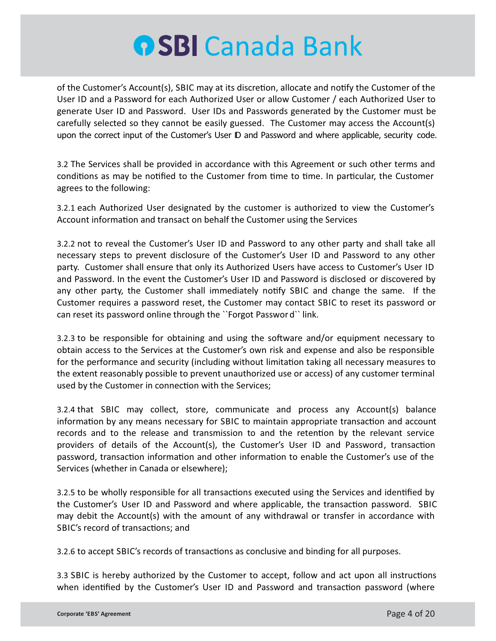of the Customer's Account(s), SBIC may at its discretion, allocate and notify the Customer of the User ID and a Password for each Authorized User or allow Customer / each Authorized User to generate User ID and Password. User IDs and Passwords generated by the Customer must be carefully selected so they cannot be easily guessed. The Customer may access the Account(s) upon the correct input of the Customer's User ID and Password and where applicable, security code.

3.2 The Services shall be provided in accordance with this Agreement or such other terms and conditions as may be notified to the Customer from time to time. In particular, the Customer agrees to the following:

3.2.1 each Authorized User designated by the customer is authorized to view the Customer's Account information and transact on behalf the Customer using the Services

3.2.2 not to reveal the Customer's User ID and Password to any other party and shall take all necessary steps to prevent disclosure of the Customer's User ID and Password to any other party. Customer shall ensure that only its Authorized Users have access to Customer's User ID and Password. In the event the Customer's User ID and Password is disclosed or discovered by any other party, the Customer shall immediately notify SBIC and change the same. If the Customer requires a password reset, the Customer may contact SBIC to reset its password or can reset its password online through the ``Forgot Password`` link.

3.2.3 to be responsible for obtaining and using the software and/or equipment necessary to obtain access to the Services at the Customer's own risk and expense and also be responsible for the performance and security (including without limitation taking all necessary measures to the extent reasonably possible to prevent unauthorized use or access) of any customer terminal used by the Customer in connection with the Services;

3.2.4 that SBIC may collect, store, communicate and process any Account(s) balance information by any means necessary for SBIC to maintain appropriate transaction and account records and to the release and transmission to and the retention by the relevant service providers of details of the Account(s), the Customer's User ID and Password, transaction password, transaction information and other information to enable the Customer's use of the Services (whether in Canada or elsewhere);

3.2.5 to be wholly responsible for all transactions executed using the Services and identified by the Customer's User ID and Password and where applicable, the transaction password. SBIC may debit the Account(s) with the amount of any withdrawal or transfer in accordance with SBIC's record of transactions; and

3.2.6 to accept SBIC's records of transactions as conclusive and binding for all purposes.

3.3 SBIC is hereby authorized by the Customer to accept, follow and act upon all instructions when identified by the Customer's User ID and Password and transaction password (where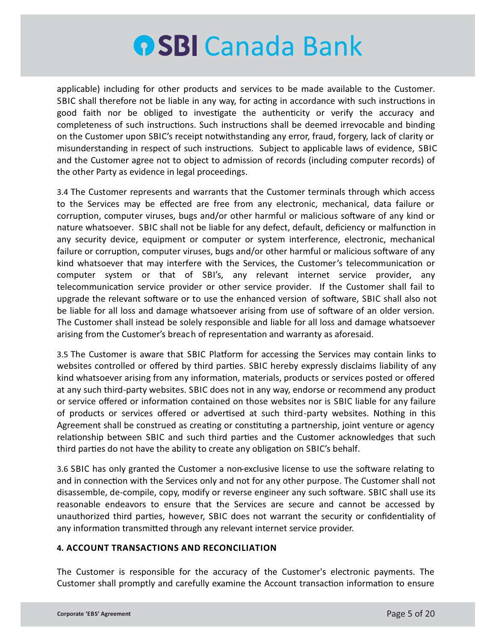applicable) including for other products and services to be made available to the Customer. SBIC shall therefore not be liable in any way, for acting in accordance with such instructions in good faith nor be obliged to investigate the authenticity or verify the accuracy and completeness of such instructions. Such instructions shall be deemed irrevocable and binding on the Customer upon SBIC's receipt notwithstanding any error, fraud, forgery, lack of clarity or misunderstanding in respect of such instructions. Subject to applicable laws of evidence, SBIC and the Customer agree not to object to admission of records (including computer records) of the other Party as evidence in legal proceedings.

3.4 The Customer represents and warrants that the Customer terminals through which access to the Services may be effected are free from any electronic, mechanical, data failure or corruption, computer viruses, bugs and/or other harmful or malicious software of any kind or nature whatsoever. SBIC shall not be liable for any defect, default, deficiency or malfunction in any security device, equipment or computer or system interference, electronic, mechanical failure or corruption, computer viruses, bugs and/or other harmful or malicious software of any kind whatsoever that may interfere with the Services, the Customer's telecommunication or computer system or that of SBI's, any relevant internet service provider, any telecommunication service provider or other service provider. If the Customer shall fail to upgrade the relevant software or to use the enhanced version of software, SBIC shall also not be liable for all loss and damage whatsoever arising from use of software of an older version. The Customer shall instead be solely responsible and liable for all loss and damage whatsoever arising from the Customer's breach of representation and warranty as aforesaid.

3.5 The Customer is aware that SBIC Platform for accessing the Services may contain links to websites controlled or offered by third parties. SBIC hereby expressly disclaims liability of any kind whatsoever arising from any information, materials, products or services posted or offered at any such third-party websites. SBIC does not in any way, endorse or recommend any product or service offered or information contained on those websites nor is SBIC liable for any failure of products or services offered or advertised at such third-party websites. Nothing in this Agreement shall be construed as creating or constituting a partnership, joint venture or agency relationship between SBIC and such third parties and the Customer acknowledges that such third parties do not have the ability to create any obligation on SBIC's behalf.

3.6 SBIC has only granted the Customer a non-exclusive license to use the software relating to and in connection with the Services only and not for any other purpose. The Customer shall not disassemble, de-compile, copy, modify or reverse engineer any such software. SBIC shall use its reasonable endeavors to ensure that the Services are secure and cannot be accessed by unauthorized third parties, however, SBIC does not warrant the security or confidentiality of any information transmitted through any relevant internet service provider.

### **4. ACCOUNT TRANSACTIONS AND RECONCILIATION**

The Customer is responsible for the accuracy of the Customer's electronic payments. The Customer shall promptly and carefully examine the Account transaction information to ensure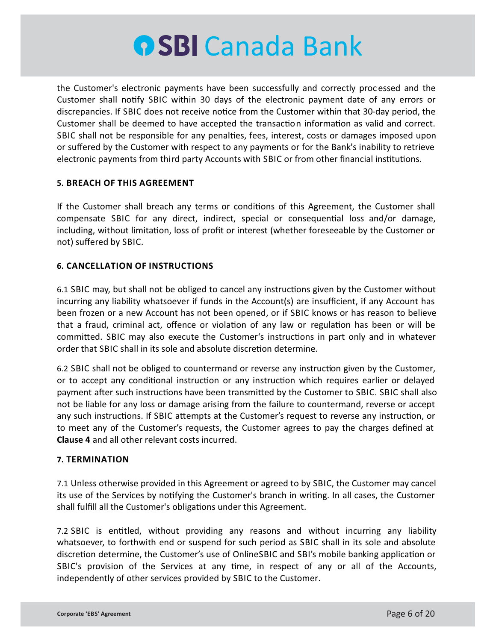

the Customer's electronic payments have been successfully and correctly proc essed and the Customer shall notify SBIC within 30 days of the electronic payment date of any errors or discrepancies. If SBIC does not receive notice from the Customer within that 30-day period, the Customer shall be deemed to have accepted the transaction information as valid and correct. SBIC shall not be responsible for any penalties, fees, interest, costs or damages imposed upon or suffered by the Customer with respect to any payments or for the Bank's inability to retrieve electronic payments from third party Accounts with SBIC or from other financial institutions.

#### **5. BREACH OF THIS AGREEMENT**

If the Customer shall breach any terms or conditions of this Agreement, the Customer shall compensate SBIC for any direct, indirect, special or consequential loss and/or damage, including, without limitation, loss of profit or interest (whether foreseeable by the Customer or not) suffered by SBIC.

#### **6. CANCELLATION OF INSTRUCTIONS**

6.1 SBIC may, but shall not be obliged to cancel any instructions given by the Customer without incurring any liability whatsoever if funds in the Account(s) are insufficient, if any Account has been frozen or a new Account has not been opened, or if SBIC knows or has reason to believe that a fraud, criminal act, offence or violation of any law or regulation has been or will be committed. SBIC may also execute the Customer's instructions in part only and in whatever order that SBIC shall in its sole and absolute discretion determine.

6.2 SBIC shall not be obliged to countermand or reverse any instruction given by the Customer, or to accept any conditional instruction or any instruction which requires earlier or delayed payment after such instructions have been transmitted by the Customer to SBIC. SBIC shall also not be liable for any loss or damage arising from the failure to countermand, reverse or accept any such instructions. If SBIC attempts at the Customer's request to reverse any instruction, or to meet any of the Customer's requests, the Customer agrees to pay the charges defined at **Clause 4** and all other relevant costs incurred.

#### **7. TERMINATION**

7.1 Unless otherwise provided in this Agreement or agreed to by SBIC, the Customer may cancel its use of the Services by notifying the Customer's branch in writing. In all cases, the Customer shall fulfill all the Customer's obligations under this Agreement.

7.2 SBIC is entitled, without providing any reasons and without incurring any liability whatsoever, to forthwith end or suspend for such period as SBIC shall in its sole and absolute discretion determine, the Customer's use of OnlineSBIC and SBI's mobile banking application or SBIC's provision of the Services at any time, in respect of any or all of the Accounts, independently of other services provided by SBIC to the Customer.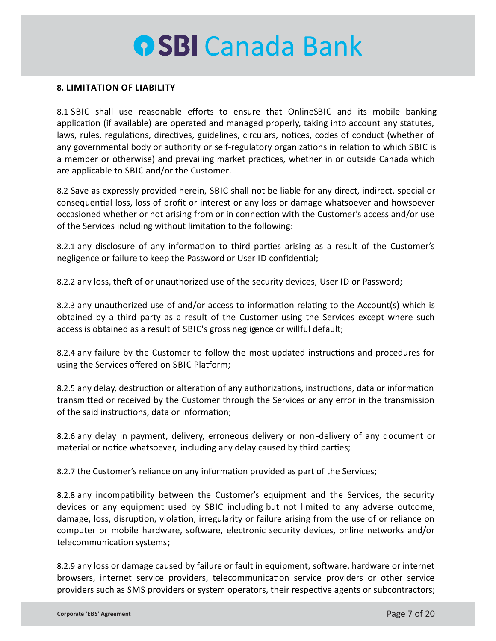#### **8. LIMITATION OF LIABILITY**

8.1 SBIC shall use reasonable efforts to ensure that OnlineSBIC and its mobile banking application (if available) are operated and managed properly, taking into account any statutes, laws, rules, regulations, directives, guidelines, circulars, notices, codes of conduct (whether of any governmental body or authority or self-regulatory organizations in relation to which SBIC is a member or otherwise) and prevailing market practices, whether in or outside Canada which are applicable to SBIC and/or the Customer.

8.2 Save as expressly provided herein, SBIC shall not be liable for any direct, indirect, special or consequential loss, loss of profit or interest or any loss or damage whatsoever and howsoever occasioned whether or not arising from or in connection with the Customer's access and/or use of the Services including without limitation to the following:

8.2.1 any disclosure of any information to third parties arising as a result of the Customer's negligence or failure to keep the Password or User ID confidential;

8.2.2 any loss, theft of or unauthorized use of the security devices, User ID or Password;

8.2.3 any unauthorized use of and/or access to information relating to the Account(s) which is obtained by a third party as a result of the Customer using the Services except where such access is obtained as a result of SBIC's gross negligence or willful default;

8.2.4 any failure by the Customer to follow the most updated instructions and procedures for using the Services offered on SBIC Platform;

8.2.5 any delay, destruction or alteration of any authorizations, instructions, data or information transmitted or received by the Customer through the Services or any error in the transmission of the said instructions, data or information;

8.2.6 any delay in payment, delivery, erroneous delivery or non -delivery of any document or material or notice whatsoever, including any delay caused by third parties;

8.2.7 the Customer's reliance on any information provided as part of the Services;

8.2.8 any incompatibility between the Customer's equipment and the Services, the security devices or any equipment used by SBIC including but not limited to any adverse outcome, damage, loss, disruption, violation, irregularity or failure arising from the use of or reliance on computer or mobile hardware, software, electronic security devices, online networks and/or telecommunication systems;

8.2.9 any loss or damage caused by failure or fault in equipment, software, hardware or internet browsers, internet service providers, telecommunication service providers or other service providers such as SMS providers or system operators, their respective agents or subcontractors;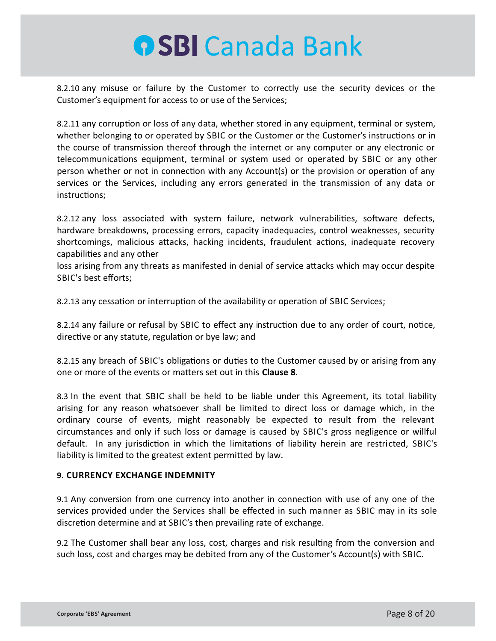8.2.10 any misuse or failure by the Customer to correctly use the security devices or the Customer's equipment for access to or use of the Services;

8.2.11 any corruption or loss of any data, whether stored in any equipment, terminal or system, whether belonging to or operated by SBIC or the Customer or the Customer's instructions or in the course of transmission thereof through the internet or any computer or any electronic or telecommunications equipment, terminal or system used or operated by SBIC or any other person whether or not in connection with any Account(s) or the provision or operation of any services or the Services, including any errors generated in the transmission of any data or instructions:

8.2.12 any loss associated with system failure, network vulnerabilities, software defects, hardware breakdowns, processing errors, capacity inadequacies, control weaknesses, security shortcomings, malicious attacks, hacking incidents, fraudulent actions, inadequate recovery capabilities and any other

loss arising from any threats as manifested in denial of service attacks which may occur despite SBIC's best efforts;

8.2.13 any cessation or interruption of the availability or operation of SBIC Services;

8.2.14 any failure or refusal by SBIC to effect any instruction due to any order of court, notice, directive or any statute, regulation or bye law; and

8.2.15 any breach of SBIC's obligations or duties to the Customer caused by or arising from any one or more of the events or matters set out in this **Clause 8**.

8.3 In the event that SBIC shall be held to be liable under this Agreement, its total liability arising for any reason whatsoever shall be limited to direct loss or damage which, in the ordinary course of events, might reasonably be expected to result from the relevant circumstances and only if such loss or damage is caused by SBIC's gross negligence or willful default. In any jurisdiction in which the limitations of liability herein are restricted, SBIC's liability is limited to the greatest extent permitted by law.

### **9. CURRENCY EXCHANGE INDEMNITY**

9.1 Any conversion from one currency into another in connection with use of any one of the services provided under the Services shall be effected in such manner as SBIC may in its sole discretion determine and at SBIC's then prevailing rate of exchange.

9.2 The Customer shall bear any loss, cost, charges and risk resulting from the conversion and such loss, cost and charges may be debited from any of the Customer's Account(s) with SBIC.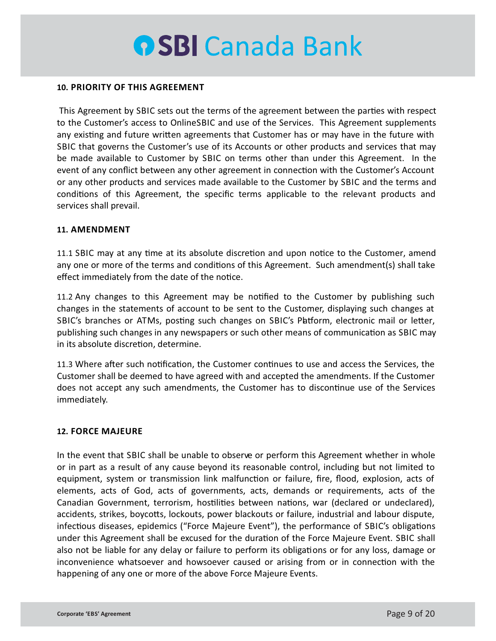#### **10. PRIORITY OF THIS AGREEMENT**

This Agreement by SBIC sets out the terms of the agreement between the parties with respect to the Customer's access to OnlineSBIC and use of the Services. This Agreement supplements any existing and future written agreements that Customer has or may have in the future with SBIC that governs the Customer's use of its Accounts or other products and services that may be made available to Customer by SBIC on terms other than under this Agreement. In the event of any conflict between any other agreement in connection with the Customer's Account or any other products and services made available to the Customer by SBIC and the terms and conditions of this Agreement, the specific terms applicable to the relevant products and services shall prevail.

#### **11. AMENDMENT**

11.1 SBIC may at any time at its absolute discretion and upon notice to the Customer, amend any one or more of the terms and conditions of this Agreement. Such amendment(s) shall take effect immediately from the date of the notice.

11.2 Any changes to this Agreement may be nofied to the Customer by publishing such changes in the statements of account to be sent to the Customer, displaying such changes at SBIC's branches or ATMs, posting such changes on SBIC's Patform, electronic mail or letter, publishing such changes in any newspapers or such other means of communication as SBIC may in its absolute discretion, determine.

11.3 Where after such notification, the Customer continues to use and access the Services, the Customer shall be deemed to have agreed with and accepted the amendments. If the Customer does not accept any such amendments, the Customer has to discontinue use of the Services immediately.

### **12. FORCE MAJEURE**

In the event that SBIC shall be unable to observe or perform this Agreement whether in whole or in part as a result of any cause beyond its reasonable control, including but not limited to equipment, system or transmission link malfunction or failure, fire, flood, explosion, acts of elements, acts of God, acts of governments, acts, demands or requirements, acts of the Canadian Government, terrorism, hostilities between nations, war (declared or undeclared), accidents, strikes, boycotts, lockouts, power blackouts or failure, industrial and labour dispute, infectious diseases, epidemics ("Force Majeure Event"), the performance of SBIC's obligations under this Agreement shall be excused for the duration of the Force Majeure Event. SBIC shall also not be liable for any delay or failure to perform its obligations or for any loss, damage or inconvenience whatsoever and howsoever caused or arising from or in connection with the happening of any one or more of the above Force Majeure Events.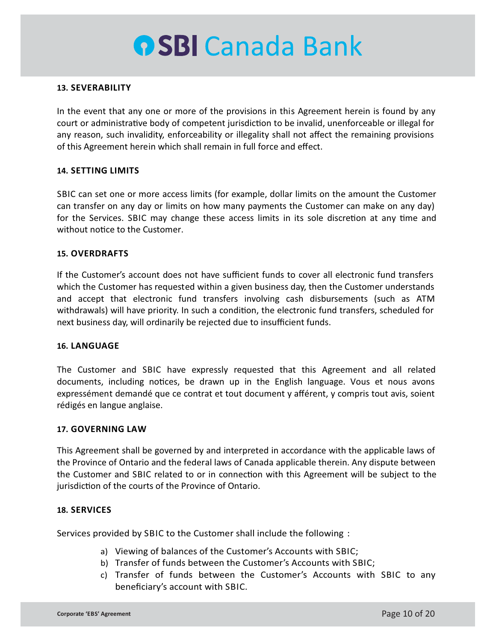#### **13. SEVERABILITY**

In the event that any one or more of the provisions in this Agreement herein is found by any court or administrative body of competent jurisdiction to be invalid, unenforceable or illegal for any reason, such invalidity, enforceability or illegality shall not affect the remaining provisions of this Agreement herein which shall remain in full force and effect.

#### **14. SETTING LIMITS**

SBIC can set one or more access limits (for example, dollar limits on the amount the Customer can transfer on any day or limits on how many payments the Customer can make on any day) for the Services. SBIC may change these access limits in its sole discretion at any time and without notice to the Customer.

#### **15. OVERDRAFTS**

If the Customer's account does not have sufficient funds to cover all electronic fund transfers which the Customer has requested within a given business day, then the Customer understands and accept that electronic fund transfers involving cash disbursements (such as ATM withdrawals) will have priority. In such a condition, the electronic fund transfers, scheduled for next business day, will ordinarily be rejected due to insufficient funds.

#### **16. LANGUAGE**

The Customer and SBIC have expressly requested that this Agreement and all related documents, including notices, be drawn up in the English language. Vous et nous avons expressément demandé que ce contrat et tout document y afférent, y compris tout avis, soient rédigés en langue anglaise.

#### **17. GOVERNING LAW**

This Agreement shall be governed by and interpreted in accordance with the applicable laws of the Province of Ontario and the federal laws of Canada applicable therein. Any dispute between the Customer and SBIC related to or in connection with this Agreement will be subject to the jurisdiction of the courts of the Province of Ontario.

#### **18. SERVICES**

Services provided by SBIC to the Customer shall include the following :

- a) Viewing of balances of the Customer's Accounts with SBIC;
- b) Transfer of funds between the Customer's Accounts with SBIC;
- c) Transfer of funds between the Customer's Accounts with SBIC to any beneficiary's account with SBIC.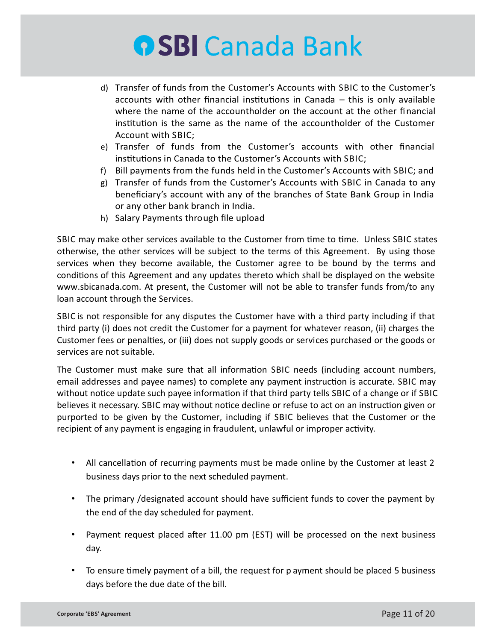- d) Transfer of funds from the Customer's Accounts with SBIC to the Customer's accounts with other financial institutions in Canada  $-$  this is only available where the name of the accountholder on the account at the other financial institution is the same as the name of the accountholder of the Customer Account with SBIC;
- e) Transfer of funds from the Customer's accounts with other financial institutions in Canada to the Customer's Accounts with SBIC;
- f) Bill payments from the funds held in the Customer's Accounts with SBIC; and
- g) Transfer of funds from the Customer's Accounts with SBIC in Canada to any beneficiary's account with any of the branches of State Bank Group in India or any other bank branch in India.
- h) Salary Payments through file upload

SBIC may make other services available to the Customer from time to time. Unless SBIC states otherwise, the other services will be subject to the terms of this Agreement. By using those services when they become available, the Customer agree to be bound by the terms and conditions of this Agreement and any updates thereto which shall be displayed on the website www.sbicanada.com. At present, the Customer will not be able to transfer funds from/to any loan account through the Services.

SBIC is not responsible for any disputes the Customer have with a third party including if that third party (i) does not credit the Customer for a payment for whatever reason, (ii) charges the Customer fees or penalties, or (iii) does not supply goods or services purchased or the goods or services are not suitable.

The Customer must make sure that all information SBIC needs (including account numbers, email addresses and payee names) to complete any payment instruction is accurate. SBIC may without notice update such payee information if that third party tells SBIC of a change or if SBIC believes it necessary. SBIC may without notice decline or refuse to act on an instruction given or purported to be given by the Customer, including if SBIC believes that the Customer or the recipient of any payment is engaging in fraudulent, unlawful or improper activity.

- All cancellation of recurring payments must be made online by the Customer at least 2 business days prior to the next scheduled payment.
- The primary /designated account should have sufficient funds to cover the payment by the end of the day scheduled for payment.
- Payment request placed after 11.00 pm (EST) will be processed on the next business day.
- To ensure timely payment of a bill, the request for p ayment should be placed 5 business days before the due date of the bill.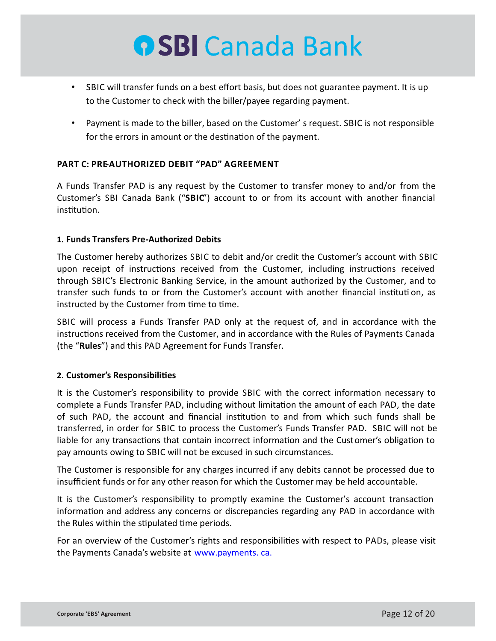- SBIC will transfer funds on a best effort basis, but does not guarantee payment. It is up to the Customer to check with the biller/payee regarding payment.
- Payment is made to the biller, based on the Customer' s request. SBIC is not responsible for the errors in amount or the destination of the payment.

### **PART C: PRE-AUTHORIZED DEBIT "PAD" AGREEMENT**

A Funds Transfer PAD is any request by the Customer to transfer money to and/or from the Customer's SBI Canada Bank ("**SBIC**") account to or from its account with another financial institution.

#### **1. Funds Transfers Pre-Authorized Debits**

The Customer hereby authorizes SBIC to debit and/or credit the Customer's account with SBIC upon receipt of instructions received from the Customer, including instructions received through SBIC's Electronic Banking Service, in the amount authorized by the Customer, and to transfer such funds to or from the Customer's account with another financial institution, as instructed by the Customer from time to time.

SBIC will process a Funds Transfer PAD only at the request of, and in accordance with the instructions received from the Customer, and in accordance with the Rules of Payments Canada (the "**Rules**") and this PAD Agreement for Funds Transfer.

### **2. Customer's Responsibilies**

It is the Customer's responsibility to provide SBIC with the correct information necessary to complete a Funds Transfer PAD, including without limitation the amount of each PAD, the date of such PAD, the account and financial institution to and from which such funds shall be transferred, in order for SBIC to process the Customer's Funds Transfer PAD. SBIC will not be liable for any transactions that contain incorrect information and the Customer's obligation to pay amounts owing to SBIC will not be excused in such circumstances.

The Customer is responsible for any charges incurred if any debits cannot be processed due to insufficient funds or for any other reason for which the Customer may be held accountable.

It is the Customer's responsibility to promptly examine the Customer's account transaction information and address any concerns or discrepancies regarding any PAD in accordance with the Rules within the stipulated time periods.

For an overview of the Customer's rights and responsibilities with respect to PADs, please visit the Payments Canada's website at www.payments. ca.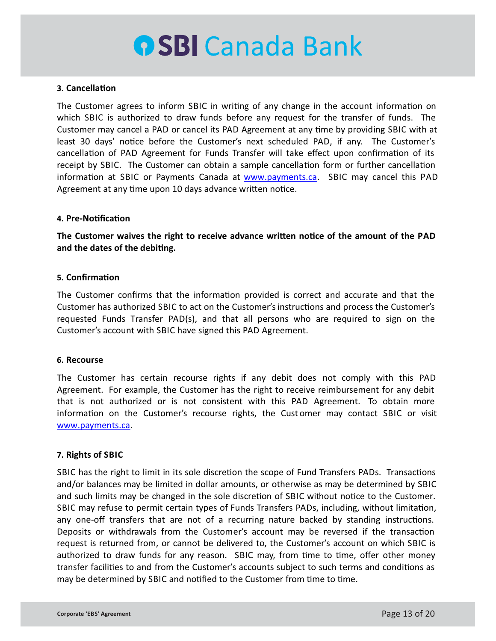#### **3.** Cancellation

The Customer agrees to inform SBIC in writing of any change in the account information on which SBIC is authorized to draw funds before any request for the transfer of funds. The Customer may cancel a PAD or cancel its PAD Agreement at any time by providing SBIC with at least 30 days' notice before the Customer's next scheduled PAD, if any. The Customer's cancellation of PAD Agreement for Funds Transfer will take effect upon confirmation of its receipt by SBIC. The Customer can obtain a sample cancellation form or further cancellation information at SBIC or Payments Canada at www.payments.ca. SBIC may cancel this PAD Agreement at any time upon 10 days advance written notice.

#### **4. Pre-Notification**

The Customer waives the right to receive advance written notice of the amount of the PAD and the dates of the debiting.

#### **5.** Confirmation

The Customer confirms that the information provided is correct and accurate and that the Customer has authorized SBIC to act on the Customer's instructions and process the Customer's requested Funds Transfer PAD(s), and that all persons who are required to sign on the Customer's account with SBIC have signed this PAD Agreement.

#### **6. Recourse**

The Customer has certain recourse rights if any debit does not comply with this PAD Agreement. For example, the Customer has the right to receive reimbursement for any debit that is not authorized or is not consistent with this PAD Agreement. To obtain more information on the Customer's recourse rights, the Customer may contact SBIC or visit www.payments.ca.

### **7. Rights of SBIC**

SBIC has the right to limit in its sole discretion the scope of Fund Transfers PADs. Transactions and/or balances may be limited in dollar amounts, or otherwise as may be determined by SBIC and such limits may be changed in the sole discretion of SBIC without notice to the Customer. SBIC may refuse to permit certain types of Funds Transfers PADs, including, without limitation, any one-off transfers that are not of a recurring nature backed by standing instructions. Deposits or withdrawals from the Customer's account may be reversed if the transaction request is returned from, or cannot be delivered to, the Customer's account on which SBIC is authorized to draw funds for any reason. SBIC may, from time to time, offer other money transfer facilities to and from the Customer's accounts subject to such terms and conditions as may be determined by SBIC and notified to the Customer from time to time.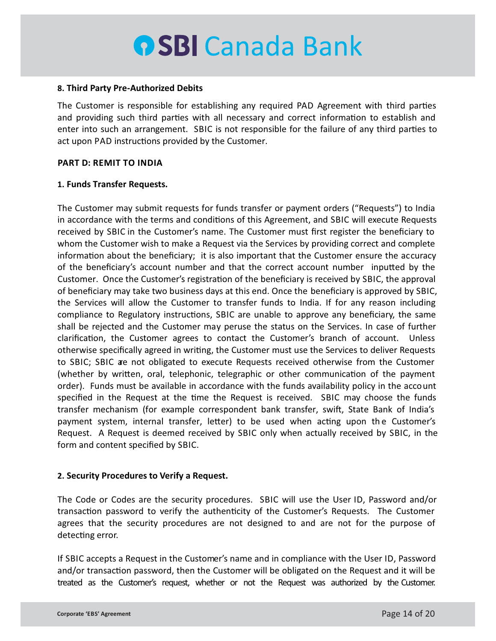#### **8. Third Party Pre-Authorized Debits**

The Customer is responsible for establishing any required PAD Agreement with third parties and providing such third parties with all necessary and correct information to establish and enter into such an arrangement. SBIC is not responsible for the failure of any third parties to act upon PAD instructions provided by the Customer.

#### **PART D: REMIT TO INDIA**

#### **1. Funds Transfer Requests.**

The Customer may submit requests for funds transfer or payment orders ("Requests") to India in accordance with the terms and conditions of this Agreement, and SBIC will execute Requests received by SBIC in the Customer's name. The Customer must first register the beneficiary to whom the Customer wish to make a Request via the Services by providing correct and complete information about the beneficiary; it is also important that the Customer ensure the accuracy of the beneficiary's account number and that the correct account number inputted by the Customer. Once the Customer's registration of the beneficiary is received by SBIC, the approval of beneficiary may take two business days at this end. Once the beneficiary is approved by SBIC, the Services will allow the Customer to transfer funds to India. If for any reason including compliance to Regulatory instructions, SBIC are unable to approve any beneficiary, the same shall be rejected and the Customer may peruse the status on the Services. In case of further clarification, the Customer agrees to contact the Customer's branch of account. Unless otherwise specifically agreed in writing, the Customer must use the Services to deliver Requests to SBIC; SBIC are not obligated to execute Requests received otherwise from the Customer (whether by written, oral, telephonic, telegraphic or other communication of the payment order). Funds must be available in accordance with the funds availability policy in the account specified in the Request at the time the Request is received. SBIC may choose the funds transfer mechanism (for example correspondent bank transfer, swift, State Bank of India's payment system, internal transfer, letter) to be used when acting upon the Customer's Request. A Request is deemed received by SBIC only when actually received by SBIC, in the form and content specified by SBIC.

#### **2. Security Procedures to Verify a Request.**

The Code or Codes are the security procedures. SBIC will use the User ID, Password and/or transaction password to verify the authenticity of the Customer's Requests. The Customer agrees that the security procedures are not designed to and are not for the purpose of detecting error.

If SBIC accepts a Request in the Customer's name and in compliance with the User ID, Password and/or transaction password, then the Customer will be obligated on the Request and it will be treated as the Customer's request, whether or not the Request was authorized by the Customer.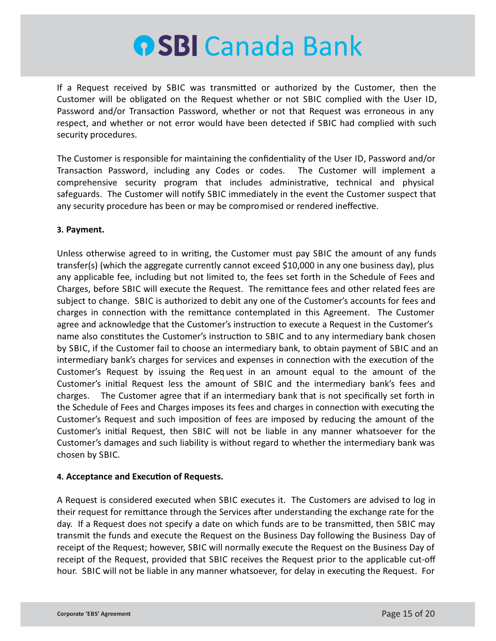If a Request received by SBIC was transmitted or authorized by the Customer, then the Customer will be obligated on the Request whether or not SBIC complied with the User ID, Password and/or Transaction Password, whether or not that Request was erroneous in any respect, and whether or not error would have been detected if SBIC had complied with such security procedures.

The Customer is responsible for maintaining the confidentiality of the User ID, Password and/or Transaction Password, including any Codes or codes. The Customer will implement a comprehensive security program that includes administrative, technical and physical safeguards. The Customer will notify SBIC immediately in the event the Customer suspect that any security procedure has been or may be compromised or rendered ineffective.

### **3. Payment.**

Unless otherwise agreed to in writing, the Customer must pay SBIC the amount of any funds transfer(s) (which the aggregate currently cannot exceed \$10,000 in any one business day), plus any applicable fee, including but not limited to, the fees set forth in the Schedule of Fees and Charges, before SBIC will execute the Request. The remittance fees and other related fees are subject to change. SBIC is authorized to debit any one of the Customer's accounts for fees and charges in connection with the remittance contemplated in this Agreement. The Customer agree and acknowledge that the Customer's instruction to execute a Request in the Customer's name also constitutes the Customer's instruction to SBIC and to any intermediary bank chosen by SBIC, if the Customer fail to choose an intermediary bank, to obtain payment of SBIC and an intermediary bank's charges for services and expenses in connection with the execution of the Customer's Request by issuing the Req uest in an amount equal to the amount of the Customer's initial Request less the amount of SBIC and the intermediary bank's fees and charges. The Customer agree that if an intermediary bank that is not specifically set forth in the Schedule of Fees and Charges imposes its fees and charges in connection with executing the Customer's Request and such imposition of fees are imposed by reducing the amount of the Customer's initial Request, then SBIC will not be liable in any manner whatsoever for the Customer's damages and such liability is without regard to whether the intermediary bank was chosen by SBIC.

### **4. Acceptance and Execution of Requests.**

A Request is considered executed when SBIC executes it. The Customers are advised to log in their request for remittance through the Services after understanding the exchange rate for the day. If a Request does not specify a date on which funds are to be transmitted, then SBIC may transmit the funds and execute the Request on the Business Day following the Business Day of receipt of the Request; however, SBIC will normally execute the Request on the Business Day of receipt of the Request, provided that SBIC receives the Request prior to the applicable cut-off hour. SBIC will not be liable in any manner whatsoever, for delay in executing the Request. For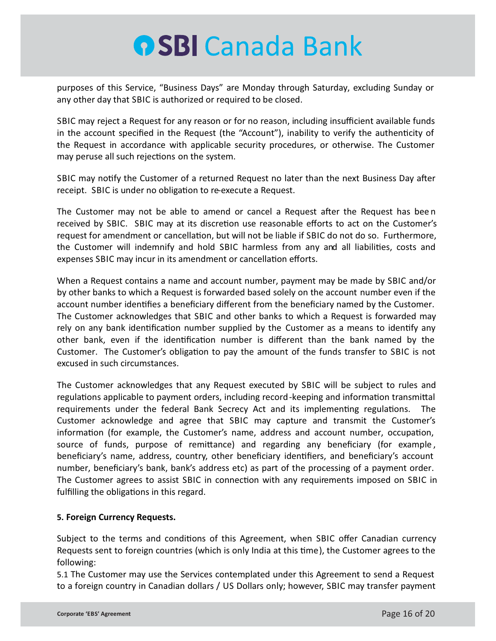purposes of this Service, "Business Days" are Monday through Saturday, excluding Sunday or any other day that SBIC is authorized or required to be closed.

SBIC may reject a Request for any reason or for no reason, including insufficient available funds in the account specified in the Request (the "Account"), inability to verify the authenticity of the Request in accordance with applicable security procedures, or otherwise. The Customer may peruse all such rejections on the system.

SBIC may notify the Customer of a returned Request no later than the next Business Day after receipt. SBIC is under no obligation to re-execute a Request.

The Customer may not be able to amend or cancel a Request after the Request has been received by SBIC. SBIC may at its discretion use reasonable efforts to act on the Customer's request for amendment or cancellation, but will not be liable if SBIC do not do so. Furthermore, the Customer will indemnify and hold SBIC harmless from any and all liabilities, costs and expenses SBIC may incur in its amendment or cancellation efforts.

When a Request contains a name and account number, payment may be made by SBIC and/or by other banks to which a Request is forwarded based solely on the account number even if the account number idenfies a beneficiary different from the beneficiary named by the Customer. The Customer acknowledges that SBIC and other banks to which a Request is forwarded may rely on any bank identification number supplied by the Customer as a means to identify any other bank, even if the identification number is different than the bank named by the Customer. The Customer's obligation to pay the amount of the funds transfer to SBIC is not excused in such circumstances.

The Customer acknowledges that any Request executed by SBIC will be subject to rules and regulations applicable to payment orders, including record-keeping and information transmittal requirements under the federal Bank Secrecy Act and its implementing regulations. The Customer acknowledge and agree that SBIC may capture and transmit the Customer's information (for example, the Customer's name, address and account number, occupation, source of funds, purpose of remittance) and regarding any beneficiary (for example, beneficiary's name, address, country, other beneficiary idenfiers, and beneficiary's account number, beneficiary's bank, bank's address etc) as part of the processing of a payment order. The Customer agrees to assist SBIC in connection with any requirements imposed on SBIC in fulfilling the obligations in this regard.

### **5. Foreign Currency Requests.**

Subject to the terms and conditions of this Agreement, when SBIC offer Canadian currency Requests sent to foreign countries (which is only India at this time), the Customer agrees to the following:

5.1 The Customer may use the Services contemplated under this Agreement to send a Request to a foreign country in Canadian dollars / US Dollars only; however, SBIC may transfer payment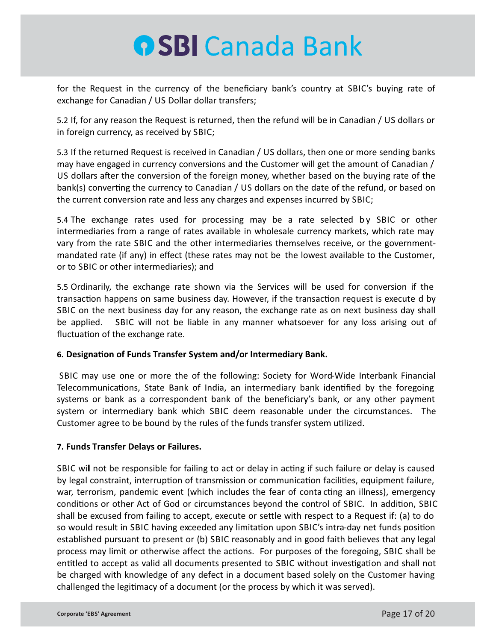for the Request in the currency of the beneficiary bank's country at SBIC's buying rate of exchange for Canadian / US Dollar dollar transfers;

5.2 If, for any reason the Request is returned, then the refund will be in Canadian / US dollars or in foreign currency, as received by SBIC;

5.3 If the returned Request is received in Canadian / US dollars, then one or more sending banks may have engaged in currency conversions and the Customer will get the amount of Canadian / US dollars after the conversion of the foreign money, whether based on the buying rate of the bank(s) converting the currency to Canadian / US dollars on the date of the refund, or based on the current conversion rate and less any charges and expenses incurred by SBIC;

5.4 The exchange rates used for processing may be a rate selected by SBIC or other intermediaries from a range of rates available in wholesale currency markets, which rate may vary from the rate SBIC and the other intermediaries themselves receive, or the governmentmandated rate (if any) in effect (these rates may not be the lowest available to the Customer, or to SBIC or other intermediaries); and

5.5 Ordinarily, the exchange rate shown via the Services will be used for conversion if the transaction happens on same business day. However, if the transaction request is execute d by SBIC on the next business day for any reason, the exchange rate as on next business day shall be applied. SBIC will not be liable in any manner whatsoever for any loss arising out of fluctuation of the exchange rate.

### **6. Designation of Funds Transfer System and/or Intermediary Bank.**

SBIC may use one or more the of the following: Society for Word-Wide Interbank Financial Telecommunications, State Bank of India, an intermediary bank identified by the foregoing systems or bank as a correspondent bank of the beneficiary's bank, or any other payment system or intermediary bank which SBIC deem reasonable under the circumstances. The Customer agree to be bound by the rules of the funds transfer system utilized.

### **7. Funds Transfer Delays or Failures.**

SBIC will not be responsible for failing to act or delay in acting if such failure or delay is caused by legal constraint, interruption of transmission or communication facilities, equipment failure, war, terrorism, pandemic event (which includes the fear of conta cting an illness), emergency conditions or other Act of God or circumstances beyond the control of SBIC. In addition, SBIC shall be excused from failing to accept, execute or settle with respect to a Request if: (a) to do so would result in SBIC having exceeded any limitation upon SBIC's intra-day net funds position established pursuant to present or (b) SBIC reasonably and in good faith believes that any legal process may limit or otherwise affect the actions. For purposes of the foregoing, SBIC shall be entitled to accept as valid all documents presented to SBIC without investigation and shall not be charged with knowledge of any defect in a document based solely on the Customer having challenged the legitimacy of a document (or the process by which it was served).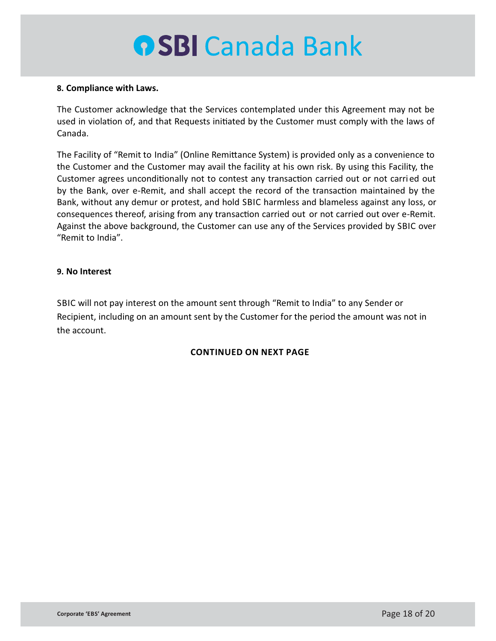#### **8. Compliance with Laws.**

The Customer acknowledge that the Services contemplated under this Agreement may not be used in violation of, and that Requests initiated by the Customer must comply with the laws of Canada.

The Facility of "Remit to India" (Online Remittance System) is provided only as a convenience to the Customer and the Customer may avail the facility at his own risk. By using this Facility, the Customer agrees unconditionally not to contest any transaction carried out or not carried out by the Bank, over e-Remit, and shall accept the record of the transaction maintained by the Bank, without any demur or protest, and hold SBIC harmless and blameless against any loss, or consequences thereof, arising from any transaction carried out or not carried out over e-Remit. Against the above background, the Customer can use any of the Services provided by SBIC over "Remit to India".

#### **9. No Interest**

SBIC will not pay interest on the amount sent through "Remit to India" to any Sender or Recipient, including on an amount sent by the Customer for the period the amount was not in the account.

### **CONTINUED ON NEXT PAGE**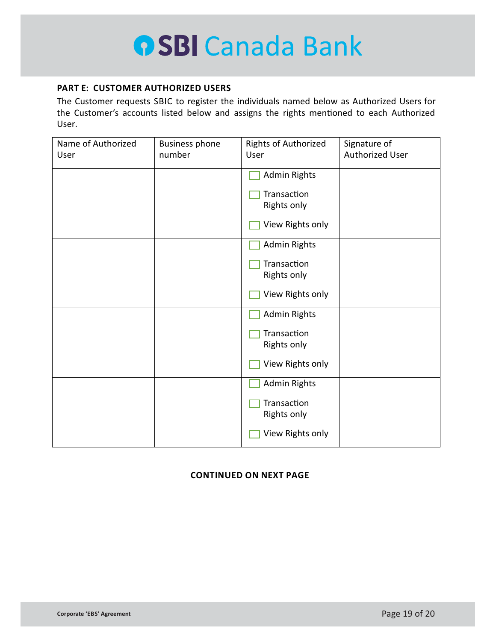#### **PART E: CUSTOMER AUTHORIZED USERS**

The Customer requests SBIC to register the individuals named below as Authorized Users for the Customer's accounts listed below and assigns the rights mentioned to each Authorized User.

| Name of Authorized<br>User | <b>Business phone</b><br>number | <b>Rights of Authorized</b><br>User | Signature of<br><b>Authorized User</b> |
|----------------------------|---------------------------------|-------------------------------------|----------------------------------------|
|                            |                                 | <b>Admin Rights</b>                 |                                        |
|                            |                                 | Transaction<br><b>Rights only</b>   |                                        |
|                            |                                 | View Rights only                    |                                        |
|                            |                                 | <b>Admin Rights</b>                 |                                        |
|                            |                                 | Transaction<br>Rights only          |                                        |
|                            |                                 | View Rights only                    |                                        |
|                            |                                 | <b>Admin Rights</b>                 |                                        |
|                            |                                 | Transaction<br>Rights only          |                                        |
|                            |                                 | View Rights only                    |                                        |
|                            |                                 | <b>Admin Rights</b>                 |                                        |
|                            |                                 | Transaction<br><b>Rights only</b>   |                                        |
|                            |                                 | View Rights only                    |                                        |

### **CONTINUED ON NEXT PAGE**